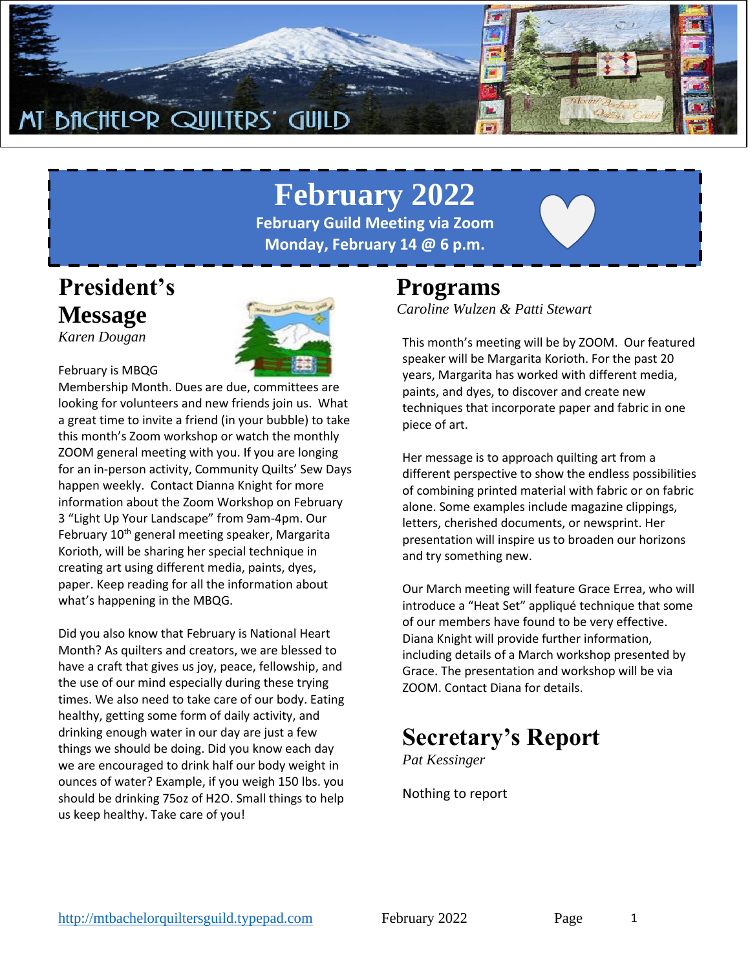

# **February 2022**

**February Guild Meeting via Zoom Monday, February 14 @ 6 p.m.**



*Karen Dougan*



#### February is MBQG

Membership Month. Dues are due, committees are looking for volunteers and new friends join us. What a great time to invite a friend (in your bubble) to take this month's Zoom workshop or watch the monthly ZOOM general meeting with you. If you are longing for an in-person activity, Community Quilts' Sew Days happen weekly. Contact Dianna Knight for more information about the Zoom Workshop on February 3 "Light Up Your Landscape" from 9am-4pm. Our February 10<sup>th</sup> general meeting speaker, Margarita Korioth, will be sharing her special technique in creating art using different media, paints, dyes, paper. Keep reading for all the information about what's happening in the MBQG.

Did you also know that February is National Heart Month? As quilters and creators, we are blessed to have a craft that gives us joy, peace, fellowship, and the use of our mind especially during these trying times. We also need to take care of our body. Eating healthy, getting some form of daily activity, and drinking enough water in our day are just a few things we should be doing. Did you know each day we are encouraged to drink half our body weight in ounces of water? Example, if you weigh 150 lbs. you should be drinking 75oz of H2O. Small things to help us keep healthy. Take care of you!

### **Programs**

*Caroline Wulzen & Patti Stewart*

This month's meeting will be by ZOOM. Our featured speaker will be Margarita Korioth. For the past 20 years, Margarita has worked with different media, paints, and dyes, to discover and create new techniques that incorporate paper and fabric in one piece of art.

Her message is to approach quilting art from a different perspective to show the endless possibilities of combining printed material with fabric or on fabric alone. Some examples include magazine clippings, letters, cherished documents, or newsprint. Her presentation will inspire us to broaden our horizons and try something new.

Our March meeting will feature Grace Errea, who will introduce a "Heat Set" appliqué technique that some of our members have found to be very effective. Diana Knight will provide further information, including details of a March workshop presented by Grace. The presentation and workshop will be via ZOOM. Contact Diana for details.

### **Secretary's Report**

*Pat Kessinger*

Nothing to report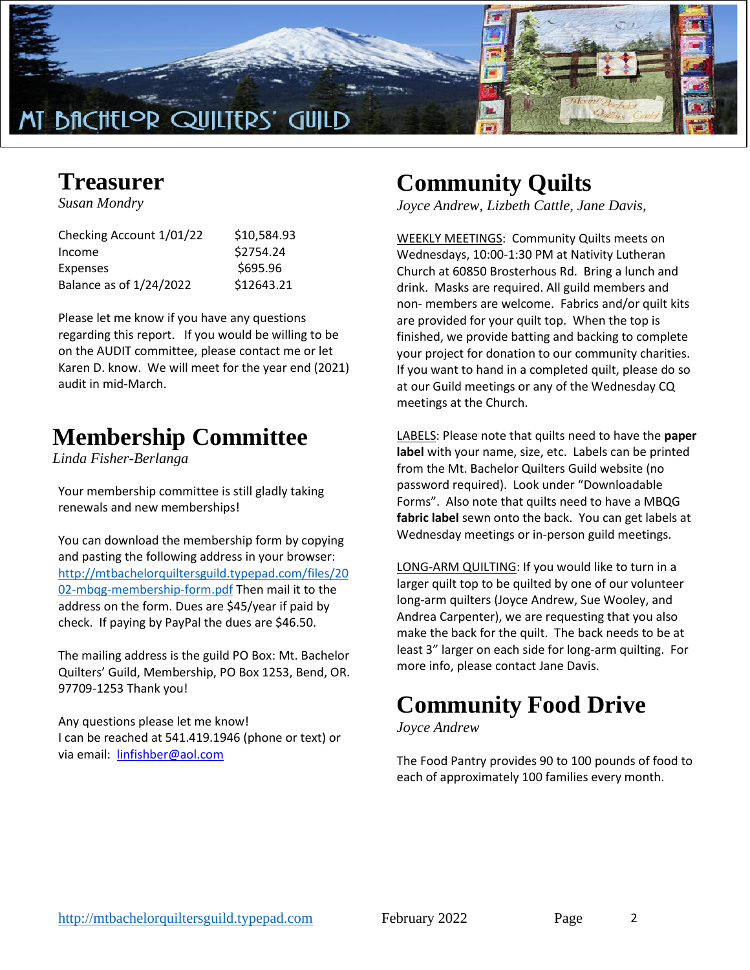

### **Treasurer**

*Susan Mondry*

| Checking Account 1/01/22 | \$10,584.93 |
|--------------------------|-------------|
| Income                   | \$2754.24   |
| Expenses                 | \$695.96    |
| Balance as of 1/24/2022  | \$12643.21  |
|                          |             |

Please let me know if you have any questions regarding this report. If you would be willing to be on the AUDIT committee, please contact me or let Karen D. know. We will meet for the year end (2021) audit in mid-March.

### **Membership Committee**

*Linda Fisher-Berlanga*

Your membership committee is still gladly taking renewals and new memberships!

You can download the membership form by copying and pasting the following address in your browser: [http://mtbachelorquiltersguild.typepad.com/files/20](http://mtbachelorquiltersguild.typepad.com/files/2002-mbqg-membership-form.pdf) [02-mbqg-membership-form.pdf](http://mtbachelorquiltersguild.typepad.com/files/2002-mbqg-membership-form.pdf) Then mail it to the address on the form. Dues are \$45/year if paid by check. If paying by PayPal the dues are \$46.50.

The mailing address is the guild PO Box: Mt. Bachelor Quilters' Guild, Membership, PO Box 1253, Bend, OR. 97709-1253 Thank you!

Any questions please let me know! I can be reached at 541.419.1946 (phone or text) or via email: [linfishber@aol.com](mailto:linfishber@aol.com)

## **Community Quilts**

*Joyce Andrew, Lizbeth Cattle, Jane Davis,*

WEEKLY MEETINGS: Community Quilts meets on Wednesdays, 10:00-1:30 PM at Nativity Lutheran Church at 60850 Brosterhous Rd. Bring a lunch and drink. Masks are required. All guild members and non- members are welcome. Fabrics and/or quilt kits are provided for your quilt top. When the top is finished, we provide batting and backing to complete your project for donation to our community charities. If you want to hand in a completed quilt, please do so at our Guild meetings or any of the Wednesday CQ meetings at the Church.

LABELS: Please note that quilts need to have the **paper label** with your name, size, etc. Labels can be printed from the Mt. Bachelor Quilters Guild website (no password required). Look under "Downloadable Forms". Also note that quilts need to have a MBQG **fabric label** sewn onto the back. You can get labels at Wednesday meetings or in-person guild meetings.

LONG-ARM QUILTING: If you would like to turn in a larger quilt top to be quilted by one of our volunteer long-arm quilters (Joyce Andrew, Sue Wooley, and Andrea Carpenter), we are requesting that you also make the back for the quilt. The back needs to be at least 3" larger on each side for long-arm quilting. For more info, please contact Jane Davis.

## **Community Food Drive**

*Joyce Andrew*

The Food Pantry provides 90 to 100 pounds of food to each of approximately 100 families every month.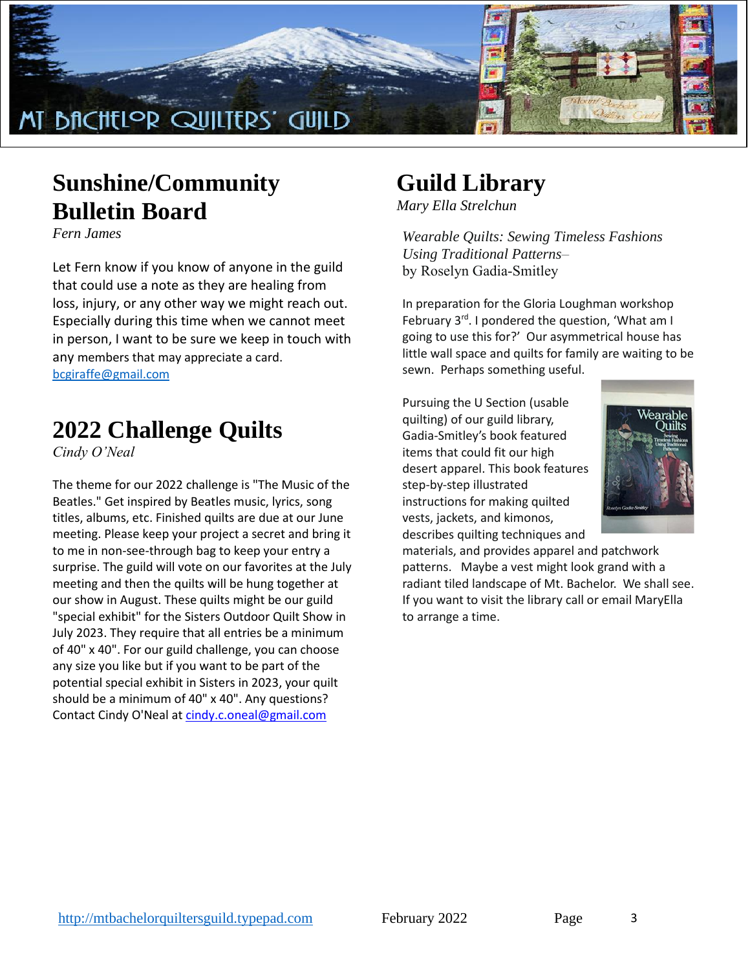

### **Sunshine/Community Bulletin Board**

*Fern James*

Let Fern know if you know of anyone in the guild that could use a note as they are healing from loss, injury, or any other way we might reach out. Especially during this time when we cannot meet in person, I want to be sure we keep in touch with any members that may appreciate a card. [bcgiraffe@gmail.com](mailto:bcgiraffe@gmail.com)

### **2022 Challenge Quilts**

*Cindy O'Neal*

The theme for our 2022 challenge is "The Music of the Beatles." Get inspired by Beatles music, lyrics, song titles, albums, etc. Finished quilts are due at our June meeting. Please keep your project a secret and bring it to me in non-see-through bag to keep your entry a surprise. The guild will vote on our favorites at the July meeting and then the quilts will be hung together at our show in August. These quilts might be our guild "special exhibit" for the Sisters Outdoor Quilt Show in July 2023. They require that all entries be a minimum of 40" x 40". For our guild challenge, you can choose any size you like but if you want to be part of the potential special exhibit in Sisters in 2023, your quilt should be a minimum of 40" x 40". Any questions? Contact Cindy O'Neal at [cindy.c.oneal@gmail.com](mailto:cindy.c.oneal@gmail.com)

# **Guild Library**

*Mary Ella Strelchun*

*Wearable Quilts: Sewing Timeless Fashions Using Traditional Patterns–* by Roselyn Gadia-Smitley

In preparation for the Gloria Loughman workshop February 3rd. I pondered the question, 'What am I going to use this for?' Our asymmetrical house has little wall space and quilts for family are waiting to be sewn. Perhaps something useful.

Pursuing the U Section (usable quilting) of our guild library, Gadia-Smitley's book featured items that could fit our high desert apparel. This book features step-by-step illustrated instructions for making quilted vests, jackets, and kimonos, describes quilting techniques and



materials, and provides apparel and patchwork patterns. Maybe a vest might look grand with a radiant tiled landscape of Mt. Bachelor. We shall see. If you want to visit the library call or email MaryElla to arrange a time.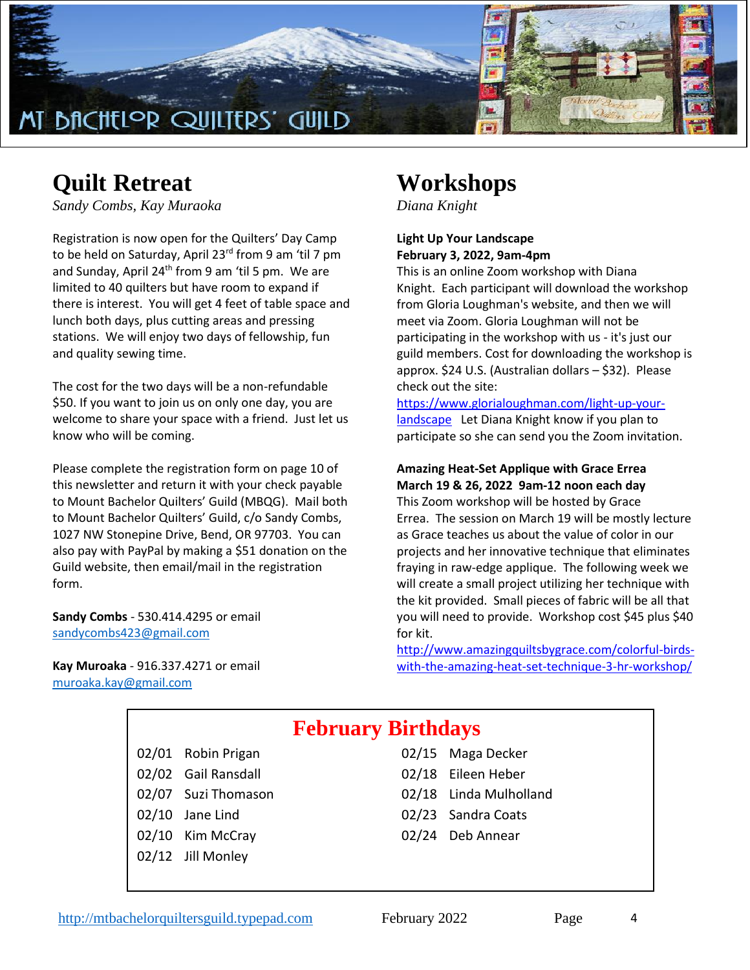

### **Quilt Retreat**

*Sandy Combs, Kay Muraoka*

Registration is now open for the Quilters' Day Camp to be held on Saturday, April 23<sup>rd</sup> from 9 am 'til 7 pm and Sunday, April  $24<sup>th</sup>$  from 9 am 'til 5 pm. We are limited to 40 quilters but have room to expand if there is interest. You will get 4 feet of table space and lunch both days, plus cutting areas and pressing stations. We will enjoy two days of fellowship, fun and quality sewing time.

The cost for the two days will be a non-refundable \$50. If you want to join us on only one day, you are welcome to share your space with a friend. Just let us know who will be coming.

Please complete the registration form on page 10 of this newsletter and return it with your check payable to Mount Bachelor Quilters' Guild (MBQG). Mail both to Mount Bachelor Quilters' Guild, c/o Sandy Combs, 1027 NW Stonepine Drive, Bend, OR 97703. You can also pay with PayPal by making a \$51 donation on the Guild website, then email/mail in the registration form.

**Sandy Combs** - 530.414.4295 or email [sandycombs423@gmail.com](mailto:sandycombs423@gmail.com)

**Kay Muroaka** - 916.337.4271 or email [muroaka.kay@gmail.com](mailto:muroaka.kay@gmail.com)

### **Workshops**

*Diana Knight*

#### **Light Up Your Landscape February 3, 2022, 9am-4pm**

This is an online Zoom workshop with Diana Knight. Each participant will download the workshop from Gloria Loughman's website, and then we will meet via Zoom. Gloria Loughman will not be participating in the workshop with us - it's just our guild members. Cost for downloading the workshop is approx. \$24 U.S. (Australian dollars – \$32). Please check out the site:

[https://www.glorialoughman.com/light-up-your](https://www.glorialoughman.com/light-up-your-landscape)[landscape](https://www.glorialoughman.com/light-up-your-landscape) Let Diana Knight know if you plan to participate so she can send you the Zoom invitation.

#### **Amazing Heat-Set Applique with Grace Errea March 19 & 26, 2022 9am-12 noon each day**

This Zoom workshop will be hosted by Grace Errea. The session on March 19 will be mostly lecture as Grace teaches us about the value of color in our projects and her innovative technique that eliminates fraying in raw-edge applique. The following week we will create a small project utilizing her technique with the kit provided. Small pieces of fabric will be all that you will need to provide. Workshop cost \$45 plus \$40 for kit.

[http://www.amazingquiltsbygrace.com/colorful-birds](http://www.amazingquiltsbygrace.com/colorful-birds-with-the-amazing-heat-set-technique-3-hr-workshop/)[with-the-amazing-heat-set-technique-3-hr-workshop/](http://www.amazingquiltsbygrace.com/colorful-birds-with-the-amazing-heat-set-technique-3-hr-workshop/)

### **February Birthdays**

02/01 Robin Prigan 02/02 Gail Ransdall 02/07 Suzi Thomason  $02/10$  Jane Lind 02/10 Kim McCray 02/12 Jill Monley

| 02/15 Maga Decker      |
|------------------------|
| 02/18 Eileen Heber     |
| 02/18 Linda Mulholland |
| 02/23 Sandra Coats     |
| 02/24 Deb Annear       |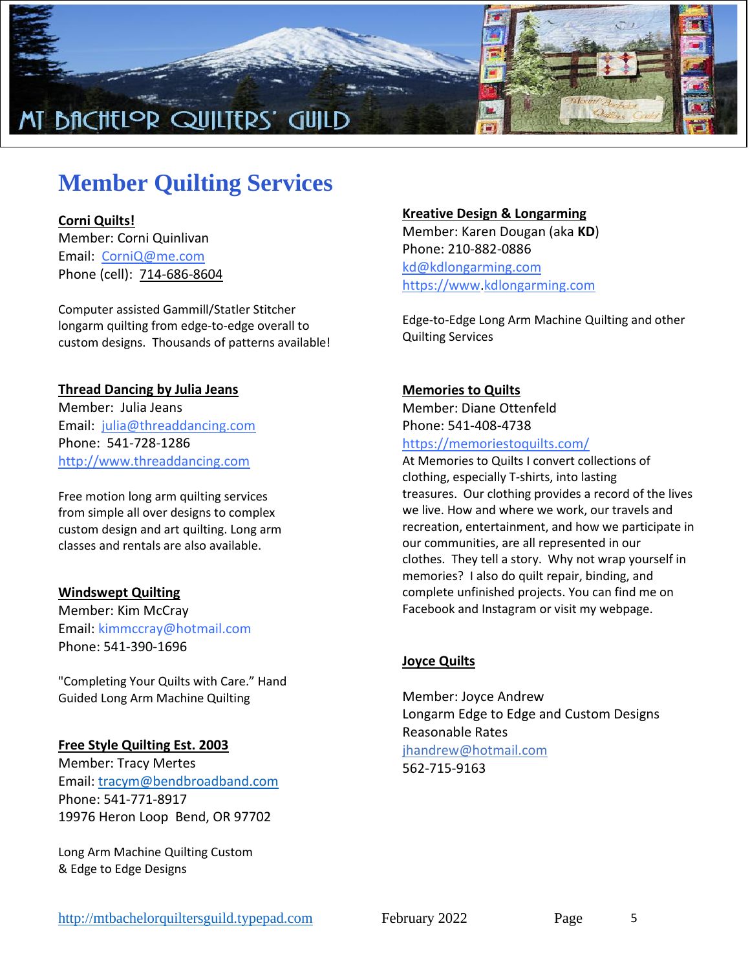

## **Member Quilting Services**

#### **Corni Quilts!**

Member: Corni Quinlivan Email: [CorniQ@me.com](mailto:CorniQ@me.com) Phone (cell): [714-686-8604](tel:714-686-8604)

Computer assisted Gammill/Statler Stitcher longarm quilting from edge-to-edge overall to custom designs. Thousands of patterns available!

#### **Thread Dancing by Julia Jeans**

Member: Julia Jeans Email: [julia@threaddancing.com](mailto:julia@threaddancing.com) Phone: 541-728-1286 [http://www.threaddancing.com](http://www.threaddancing.com/)

Free motion long arm quilting services from simple all over designs to complex custom design and art quilting. Long arm classes and rentals are also available.

#### **Windswept Quilting**

Member: Kim McCray Email: kimmccray@hotmail.com Phone: 541-390-1696

"Completing Your Quilts with Care." Hand Guided Long Arm Machine Quilting

#### **Free Style Quilting Est. 2003**

Member: Tracy Mertes Email: [tracym@bendbroadband.com](mailto:tracym@bendbroadband.com) Phone: 541-771-8917 19976 Heron Loop Bend, OR 97702

Long Arm Machine Quilting Custom & Edge to Edge Designs

#### **Kreative Design & Longarming**

Member: Karen Dougan (aka **KD**) Phone: 210-882-0886 [kd@kdlongarming.com](mailto:kd@kdlongarming.com) [https://www](https://www/)[.kdlongarming.com](http://www.kdlongarming.com/)

Edge-to-Edge Long Arm Machine Quilting and other Quilting Services

#### **Memories to Quilts**

Member: Diane Ottenfeld Phone: 541-408-4738 <https://memoriestoquilts.com/>

At Memories to Quilts I convert collections of clothing, especially T-shirts, into lasting treasures. Our clothing provides a record of the lives we live. How and where we work, our travels and recreation, entertainment, and how we participate in our communities, are all represented in our clothes. They tell a story. Why not wrap yourself in memories? I also do quilt repair, binding, and complete unfinished projects. You can find me on Facebook and Instagram or visit my webpage.

#### **Joyce Quilts**

Member: Joyce Andrew Longarm Edge to Edge and Custom Designs Reasonable Rates jh[andrew@hotmail.com](mailto:jhandrew@hotmail.com) 562-715-9163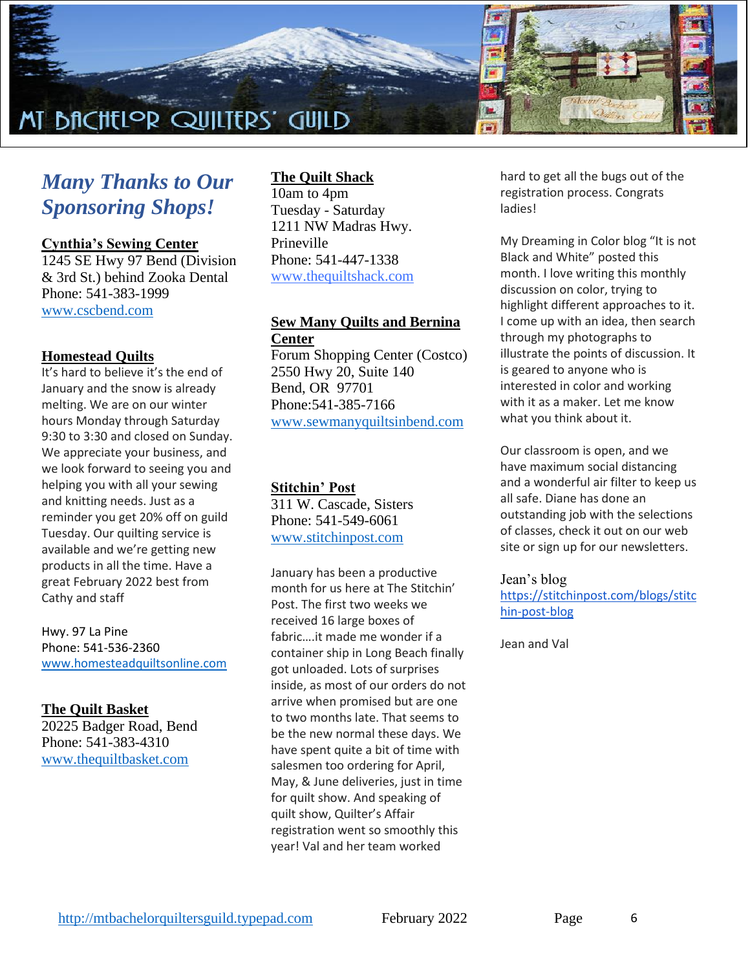

### *Many Thanks to Our Sponsoring Shops!*

**Cynthia's Sewing Center**

1245 SE Hwy 97 Bend (Division & 3rd St.) behind Zooka Dental Phone: 541-383-1999 [www.cscbend.com](http://www.cscbend.com/)

#### **Homestead Quilts**

It's hard to believe it's the end of January and the snow is already melting. We are on our winter hours Monday through Saturday 9:30 to 3:30 and closed on Sunday. We appreciate your business, and we look forward to seeing you and helping you with all your sewing and knitting needs. Just as a reminder you get 20% off on guild Tuesday. Our quilting service is available and we're getting new products in all the time. Have a great February 2022 best from Cathy and staff

Hwy. 97 La Pine Phone: 541-536-2360 [www.homesteadquiltsonline.com](http://www.homesteadquiltsonline.com/)

#### **The Quilt Basket**

20225 Badger Road, Bend Phone: 541-383-4310 [www.thequiltbasket.com](http://www.thequiltbasket.com/)

#### **The Quilt Shack**

10am to 4pm Tuesday - Saturday 1211 NW Madras Hwy. Prineville Phone: 541-447-1338 [www.thequiltshack.com](http://www.thequiltshack.com/)

#### **Sew Many Quilts and Bernina Center**

Forum Shopping Center (Costco) 2550 Hwy 20, Suite 140 Bend, OR 97701 Phone:541-385-7166 [www.sewmanyquiltsinbend.com](http://www.sewmanyquiltsinbend.com/)

#### **Stitchin' Post**

311 W. Cascade, Sisters Phone: 541-549-6061 [www.stitchinpost.com](http://www.stitchinpost.com/)

January has been a productive month for us here at The Stitchin' Post. The first two weeks we received 16 large boxes of fabric….it made me wonder if a container ship in Long Beach finally got unloaded. Lots of surprises inside, as most of our orders do not arrive when promised but are one to two months late. That seems to be the new normal these days. We have spent quite a bit of time with salesmen too ordering for April, May, & June deliveries, just in time for quilt show. And speaking of quilt show, Quilter's Affair registration went so smoothly this year! Val and her team worked

hard to get all the bugs out of the registration process. Congrats ladies!

My Dreaming in Color blog "It is not Black and White" posted this month. I love writing this monthly discussion on color, trying to highlight different approaches to it. I come up with an idea, then search through my photographs to illustrate the points of discussion. It is geared to anyone who is interested in color and working with it as a maker. Let me know what you think about it.

Our classroom is open, and we have maximum social distancing and a wonderful air filter to keep us all safe. Diane has done an outstanding job with the selections of classes, check it out on our web site or sign up for our newsletters.

#### Jean's blog

[https://stitchinpost.com/blogs/stitc](https://stitchinpost.com/blogs/stitchin-post-blog) [hin-post-blog](https://stitchinpost.com/blogs/stitchin-post-blog)

Jean and Val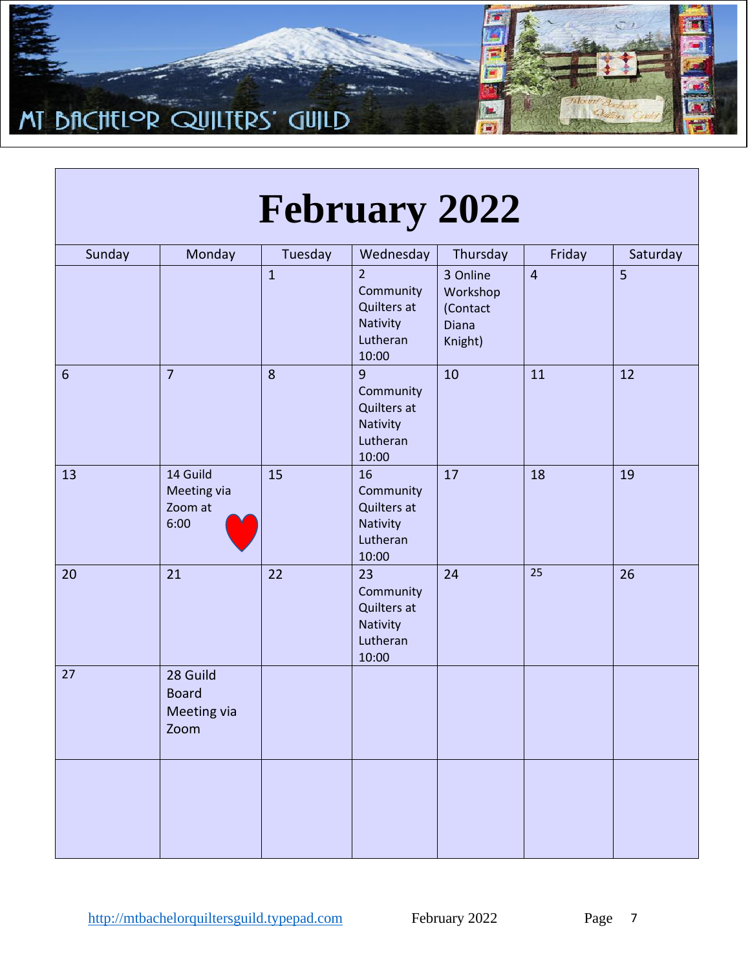

| Sunday          | Monday                                          | Tuesday      | Wednesday                                                                   | Thursday                                             | Friday         | Saturday       |
|-----------------|-------------------------------------------------|--------------|-----------------------------------------------------------------------------|------------------------------------------------------|----------------|----------------|
|                 |                                                 | $\mathbf{1}$ | $\overline{2}$<br>Community<br>Quilters at<br>Nativity<br>Lutheran<br>10:00 | 3 Online<br>Workshop<br>(Contact<br>Diana<br>Knight) | $\overline{4}$ | $\overline{5}$ |
| $6\phantom{1}6$ | $\overline{7}$                                  | 8            | 9<br>Community<br>Quilters at<br>Nativity<br>Lutheran<br>10:00              | 10                                                   | 11             | 12             |
| 13              | 14 Guild<br>Meeting via<br>Zoom at<br>6:00      | 15           | 16<br>Community<br>Quilters at<br>Nativity<br>Lutheran<br>10:00             | 17                                                   | 18             | 19             |
| 20              | 21                                              | 22           | 23<br>Community<br>Quilters at<br>Nativity<br>Lutheran<br>10:00             | 24                                                   | 25             | 26             |
| 27              | 28 Guild<br><b>Board</b><br>Meeting via<br>Zoom |              |                                                                             |                                                      |                |                |